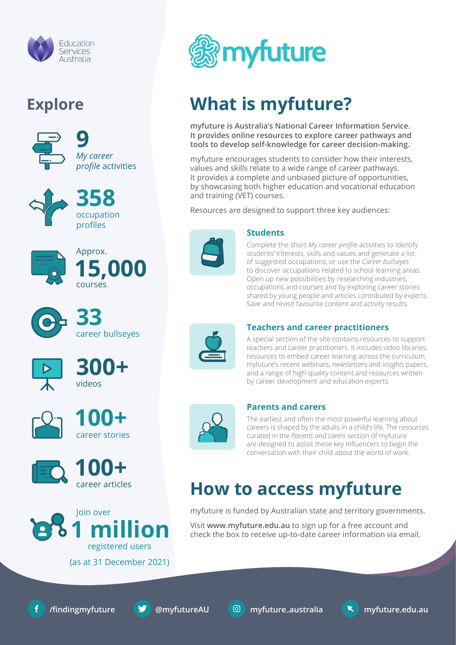

### **Explore**





**358** occupation profiles



**33** career bullseyes













# **What is myfuture?**

**myfuture is Australia's National Career Information Service. It provides online resources to explore career pathways and tools to develop self-knowledge for career decision-making.**

myfuture encourages students to consider how their interests, values and skills relate to a wide range of career pathways. It provides a complete and unbiased picture of opportunities, by showcasing both higher education and vocational education and training (VET) courses.

Resources are designed to support three key audiences:



#### **Students**

Complete the short *My career profile* activities to identify students' interests, skills and values and generate a list of suggested occupations, or use the *Career bullseyes* to discover occupations related to school learning areas. Open up new possibilities by researching industries, occupations and courses and by exploring career stories shared by young people and articles contributed by experts. Save and revisit favourite content and activity results.



#### **Teachers and career practitioners**

A special section of the site contains resources to support teachers and career practitioners. It includes video libraries, resources to embed career learning across the curriculum, myfuture's recent webinars, newsletters and *Insights* papers, and a range of high-quality content and resources written by career development and education experts.



### **Parents and carers**

The earliest and often the most powerful learning about careers is shaped by the adults in a child's life. The resources curated in the *Parents and carers* section of myfuture are designed to assist these key influencers to begin the conversation with their child about the world of work.

## **How to access myfuture**

myfuture is funded by Australian state and territory governments.

Visit **www.myfuture.edu.au** to sign up for a free account and check the box to receive up-to-date career information via email.